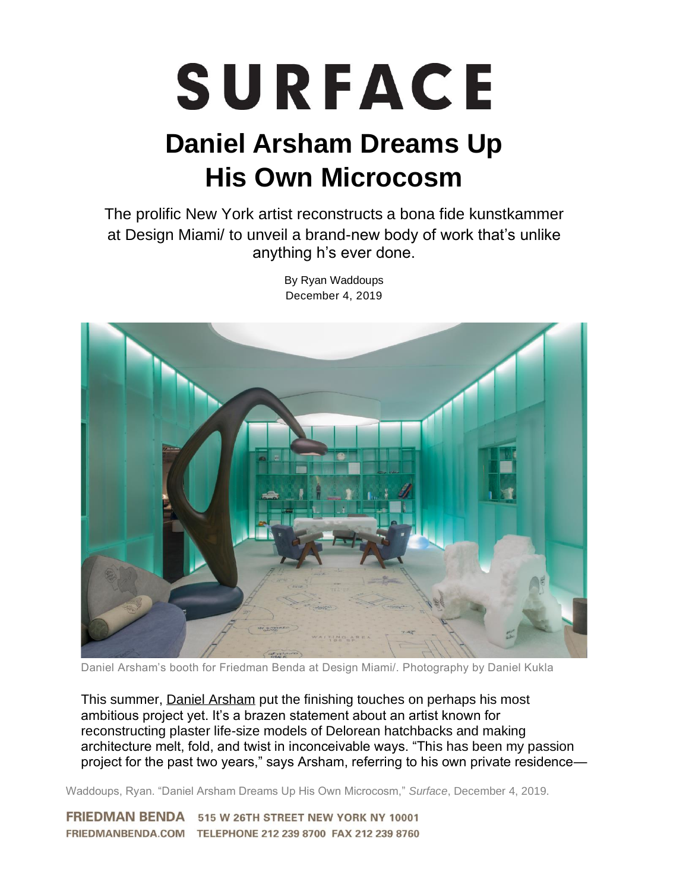## SURFACE

## **Daniel Arsham Dreams Up His Own Microcosm**

The prolific New York artist reconstructs a bona fide kunstkammer at Design Miami/ to unveil a brand-new body of work that's unlike anything h's ever done.

By Ryan Waddoups December 4, 2019

Daniel Arsham's booth for Friedman Benda at Design Miami/. Photography by Daniel Kukla

This summer, [Daniel Arsham](https://www.danielarsham.com/) put the finishing touches on perhaps his most ambitious project yet. It's a brazen statement about an artist known for reconstructing plaster life-size models of Delorean hatchbacks and making architecture melt, fold, and twist in inconceivable ways. "This has been my passion project for the past two years," says Arsham, referring to his own private residence—

Waddoups, Ryan. "Daniel Arsham Dreams Up His Own Microcosm," *Surface*, December 4, 2019.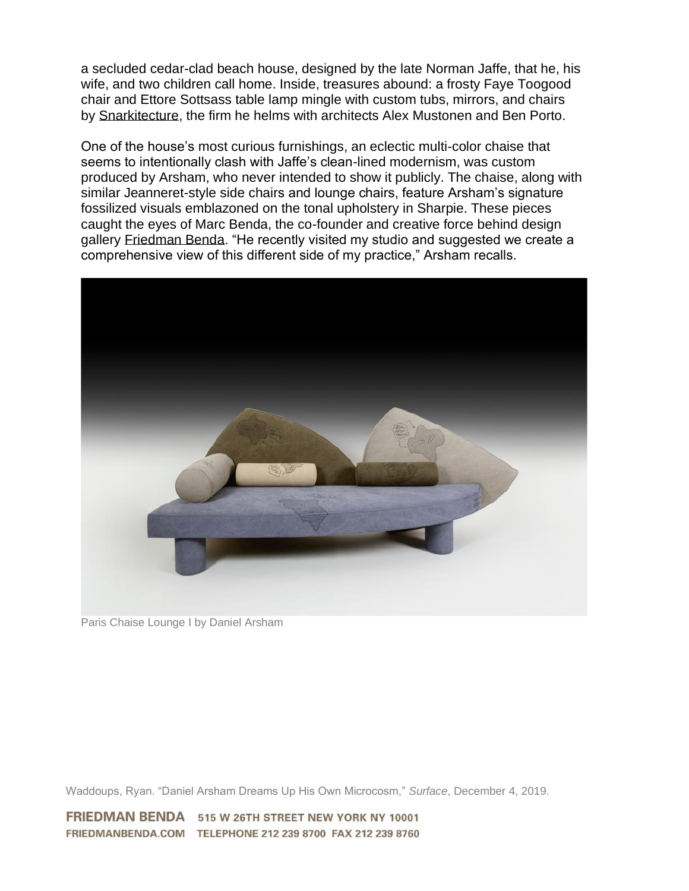a secluded cedar-clad beach house, designed by the late Norman Jaffe, that he, his wife, and two children call home. Inside, treasures abound: a frosty Faye Toogood chair and Ettore Sottsass table lamp mingle with custom tubs, mirrors, and chairs by [Snarkitecture,](http://www.snarkitecture.com/) the firm he helms with architects Alex Mustonen and Ben Porto.

One of the house's most curious furnishings, an eclectic multi-color chaise that seems to intentionally clash with Jaffe's clean-lined modernism, was custom produced by Arsham, who never intended to show it publicly. The chaise, along with similar Jeanneret-style side chairs and lounge chairs, feature Arsham's signature fossilized visuals emblazoned on the tonal upholstery in Sharpie. These pieces caught the eyes of Marc Benda, the co-founder and creative force behind design gallery [Friedman Benda.](http://www.friedmanbenda.com/) "He recently visited my studio and suggested we create a comprehensive view of this different side of my practice," Arsham recalls.



Paris Chaise Lounge I by Daniel Arsham

Waddoups, Ryan. "Daniel Arsham Dreams Up His Own Microcosm," *Surface*, December 4, 2019.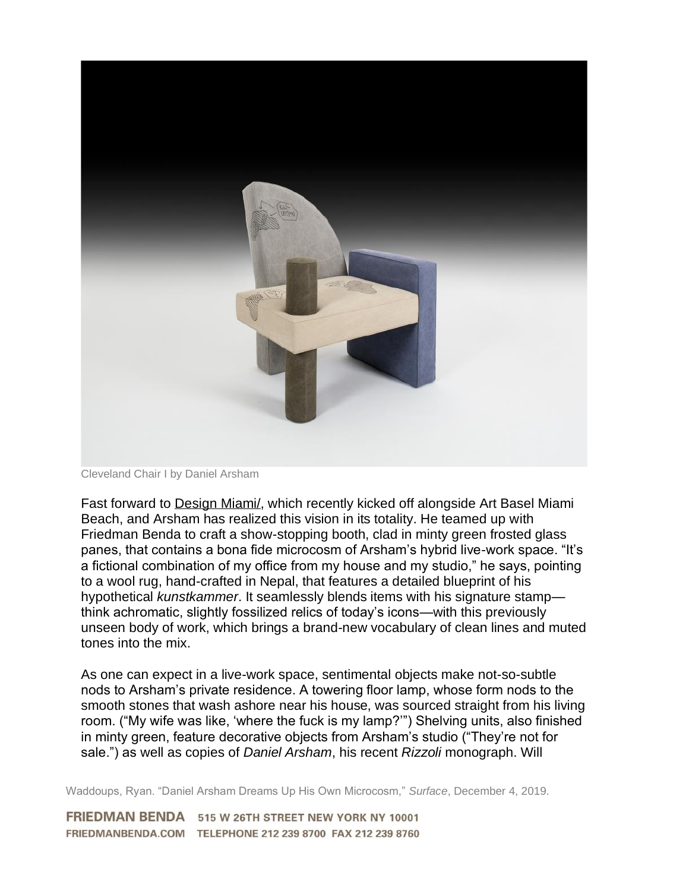

Cleveland Chair I by Daniel Arsham

Fast forward to [Design Miami/,](https://miami2019.designmiami.com/) which recently kicked off alongside Art Basel Miami Beach, and Arsham has realized this vision in its totality. He teamed up with Friedman Benda to craft a show-stopping booth, clad in minty green frosted glass panes, that contains a bona fide microcosm of Arsham's hybrid live-work space. "It's a fictional combination of my office from my house and my studio," he says, pointing to a wool rug, hand-crafted in Nepal, that features a detailed blueprint of his hypothetical *kunstkammer*. It seamlessly blends items with his signature stamp think achromatic, slightly fossilized relics of today's icons—with this previously unseen body of work, which brings a brand-new vocabulary of clean lines and muted tones into the mix.

As one can expect in a live-work space, sentimental objects make not-so-subtle nods to Arsham's private residence. A towering floor lamp, whose form nods to the smooth stones that wash ashore near his house, was sourced straight from his living room. ("My wife was like, 'where the fuck is my lamp?'") Shelving units, also finished in minty green, feature decorative objects from Arsham's studio ("They're not for sale.") as well as copies of *Daniel Arsham*, his recent *Rizzoli* monograph. Will

Waddoups, Ryan. "Daniel Arsham Dreams Up His Own Microcosm," *Surface*, December 4, 2019.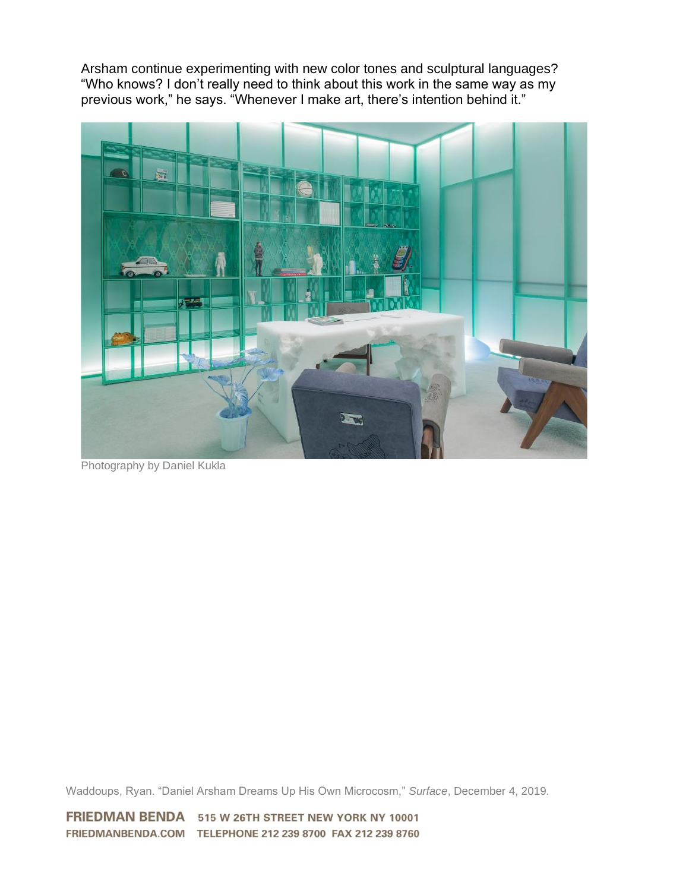Arsham continue experimenting with new color tones and sculptural languages? "Who knows? I don't really need to think about this work in the same way as my previous work," he says. "Whenever I make art, there's intention behind it."



Photography by Daniel Kukla

Waddoups, Ryan. "Daniel Arsham Dreams Up His Own Microcosm," *Surface*, December 4, 2019.